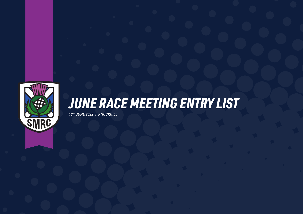

## *JUNE RACE MEETING ENTRY LIST*

*12TH JUNE 2022 | KNOCKHILL*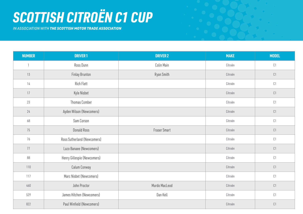# *SCOTTISH CITROËN C1 CUP*

*IN ASSOCIATION WITH THE SCOTTISH MOTOR TRADE ASSOCIATION*

| <b>NUMBER</b> | <b>DRIVER 1</b>             | <b>DRIVER 2</b> | <b>MAKE</b> | <b>MODEL</b>            |
|---------------|-----------------------------|-----------------|-------------|-------------------------|
| $\mathbf{1}$  | Ross Dunn                   | Colin Main      | Citroën     | $\complement$ 1         |
| 13            | <b>Finlay Brunton</b>       | Ryan Smith      | Citroën     | $\complement$ 1         |
| 14            | <b>Rich Flett</b>           |                 | Citroën     | $\complement$ 1         |
| 17            | Kyle Nisbet                 |                 | Citroën     | $\complement\mathbf{1}$ |
| 23            | Thomas Comber               |                 | Citroën     | $\complement$ 1         |
| 24            | Ayden Wilson (Newcomers)    |                 | Citroën     | $\complement$ 1         |
| 68            | Sam Corson                  |                 | Citroën     | $\complement$ 1         |
| 75            | <b>Donald Ross</b>          | Fraser Smart    | Citroën     | $\complement\mathbf{1}$ |
| 76            | Ross Sutherland (Newcomers) |                 | Citroën     | $\complement$ 1         |
| 77            | Lazo Banaee (Newcomers)     |                 | Citroën     | $\complement$ 1         |
| 88            | Henry Gillespie (Newcomers) |                 | Citroën     | $\complement$ 1         |
| 110           | Calum Conway                |                 | Citroën     | $\complement$ 1         |
| 117           | Marc Nisbet (Newcomers)     |                 | Citroën     | C1                      |
| 460           | John Proctor                | Murdo MacLeod   | Citroën     | $\complement$ 1         |
| 529           | James Hitchen (Newcomers)   | Dan Kell        | Citroën     | $\complement$ 1         |
| 822           | Paul Winfield (Newcomers)   |                 | Citroën     | C1                      |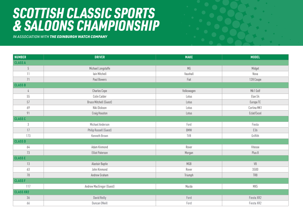#### *SCOTTISH CLASSIC SPORTS & SALOONS CHAMPIONSHIP*

*IN ASSOCIATION WITH THE EDINBURGH WATCH COMPANY*

| <b>NUMBER</b>    | <b>DRIVER</b>                 | <b>MAKE</b> | <b>MODEL</b> |
|------------------|-------------------------------|-------------|--------------|
| <b>CLASS A</b>   |                               |             |              |
| $\overline{5}$   | Michael Longstaffe            | MG          | Midget       |
| 11               | lain Mitchell                 | Vauxhall    | Nova         |
| 71               | Paul Bowers                   | Fiat        | 128 Coupe    |
| <b>CLASS B</b>   |                               |             |              |
| $\frac{1}{4}$    | <b>Charles Cope</b>           | Volkswagen  | Mk1 Golf     |
| 55               | Colin Calder                  | Lotus       | Elan S4      |
| 57               | <b>Bruce Mitchell (Guest)</b> | Lotus       | Europa TC    |
| 69               | Niki Dickson                  | Lotus       | Cortina MK1  |
| 91               | Craig Houston                 | Lotus       | Eclat/Excel  |
| <b>CLASS C</b>   |                               |             |              |
| $\mathfrak{Z}$   | Michael Anderson              | Ford        | Fiesta       |
| 17               | Philip Russell (Guest)        | BMW         | E36          |
| 173              | Kenneth Brown                 | TVR         | Griffith     |
| <b>CLASS D</b>   |                               |             |              |
| 64               | Adam Kinmond                  | Rover       | Vitesse      |
| 73               | <b>Elliot Paterson</b>        | Morgan      | Plus 8       |
| <b>CLASSE</b>    |                               |             |              |
| 13               | Alastair Baptie               | MGB         | V8           |
| 63               | John Kinmond                  | Rover       | 3500         |
| 78               | Andrew Graham                 | Triumph     | TR8          |
| <b>CLASS F</b>   |                               |             |              |
| 117              | Andrew MacGregor (Guest)      | Mazda       | MX5          |
| <b>CLASS XR2</b> |                               |             |              |
| 36               | David Reilly                  | Ford        | Fiesta XR2   |
| 66               | Duncan ONeill                 | Ford        | Fiesta XR2   |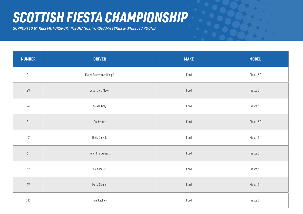#### *SCOTTISH FIESTA CHAMPIONSHIP*

*SUPPORTED BY REIS MOTORSPORT INSURANCE, YOKOHAMA TYRES & WHEELS AROUND*

| <b>NUMBER</b> | <b>DRIVER</b>             | <b>MAKE</b> | <b>MODEL</b> |
|---------------|---------------------------|-------------|--------------|
| 21            | Kieren Preedy (Challenge) | Ford        | Fiesta ST    |
| $23\,$        | Lucy Hales-Maver          | Ford        | Fiesta ST    |
| 24            | Steven Gray               | Ford        | Fiesta ST    |
| 31            | Broddy Orr                | Ford        | Fiesta ST    |
| $52\,$        | David Colville            | Ford        | Fiesta ST    |
| 61            | Peter Cruickshank         | Ford        | Fiesta ST    |
| $62$          | Liam McGill               | Ford        | Fiesta ST    |
| 69            | Mark Dickson              | Ford        | Fiesta ST    |
| 333           | lain Blackley             | Ford        | Fiesta ST    |